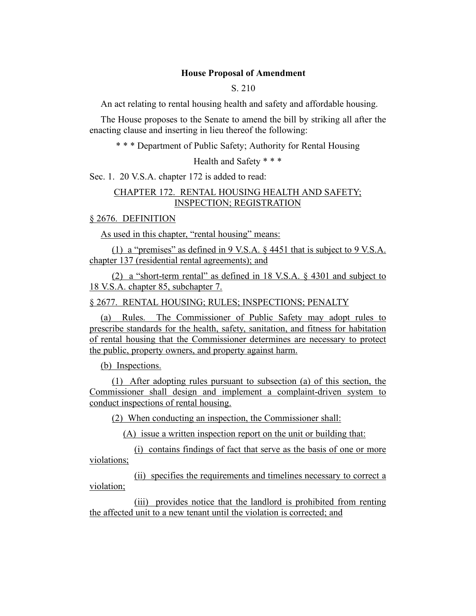### **House Proposal of Amendment**

## S. 210

An act relating to rental housing health and safety and affordable housing.

The House proposes to the Senate to amend the bill by striking all after the enacting clause and inserting in lieu thereof the following:

\* \* \* Department of Public Safety; Authority for Rental Housing

Health and Safety \* \* \*

Sec. 1. 20 V.S.A. chapter 172 is added to read:

## CHAPTER 172. RENTAL HOUSING HEALTH AND SAFETY; INSPECTION; REGISTRATION

§ 2676. DEFINITION

As used in this chapter, "rental housing" means:

(1) a "premises" as defined in 9 V.S.A. § 4451 that is subject to 9 V.S.A. chapter 137 (residential rental agreements); and

(2) a "short-term rental" as defined in 18 V.S.A. § 4301 and subject to 18 V.S.A. chapter 85, subchapter 7.

§ 2677. RENTAL HOUSING; RULES; INSPECTIONS; PENALTY

(a) Rules. The Commissioner of Public Safety may adopt rules to prescribe standards for the health, safety, sanitation, and fitness for habitation of rental housing that the Commissioner determines are necessary to protect the public, property owners, and property against harm.

(b) Inspections.

(1) After adopting rules pursuant to subsection (a) of this section, the Commissioner shall design and implement a complaint-driven system to conduct inspections of rental housing.

(2) When conducting an inspection, the Commissioner shall:

(A) issue a written inspection report on the unit or building that:

(i) contains findings of fact that serve as the basis of one or more violations;

(ii) specifies the requirements and timelines necessary to correct a violation;

(iii) provides notice that the landlord is prohibited from renting the affected unit to a new tenant until the violation is corrected; and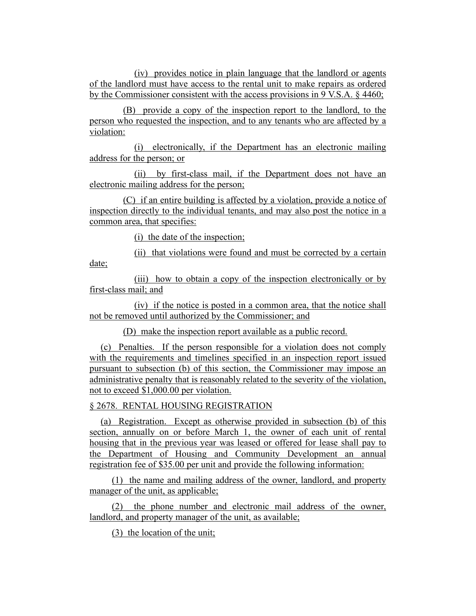(iv) provides notice in plain language that the landlord or agents of the landlord must have access to the rental unit to make repairs as ordered by the Commissioner consistent with the access provisions in 9 V.S.A. § 4460;

(B) provide a copy of the inspection report to the landlord, to the person who requested the inspection, and to any tenants who are affected by a violation:

(i) electronically, if the Department has an electronic mailing address for the person; or

(ii) by first-class mail, if the Department does not have an electronic mailing address for the person;

(C) if an entire building is affected by a violation, provide a notice of inspection directly to the individual tenants, and may also post the notice in a common area, that specifies:

(i) the date of the inspection;

(ii) that violations were found and must be corrected by a certain

date;

(iii) how to obtain a copy of the inspection electronically or by first-class mail; and

(iv) if the notice is posted in a common area, that the notice shall not be removed until authorized by the Commissioner; and

(D) make the inspection report available as a public record.

(c) Penalties. If the person responsible for a violation does not comply with the requirements and timelines specified in an inspection report issued pursuant to subsection (b) of this section, the Commissioner may impose an administrative penalty that is reasonably related to the severity of the violation, not to exceed \$1,000.00 per violation.

§ 2678. RENTAL HOUSING REGISTRATION

(a) Registration. Except as otherwise provided in subsection (b) of this section, annually on or before March 1, the owner of each unit of rental housing that in the previous year was leased or offered for lease shall pay to the Department of Housing and Community Development an annual registration fee of \$35.00 per unit and provide the following information:

(1) the name and mailing address of the owner, landlord, and property manager of the unit, as applicable;

(2) the phone number and electronic mail address of the owner, landlord, and property manager of the unit, as available;

(3) the location of the unit;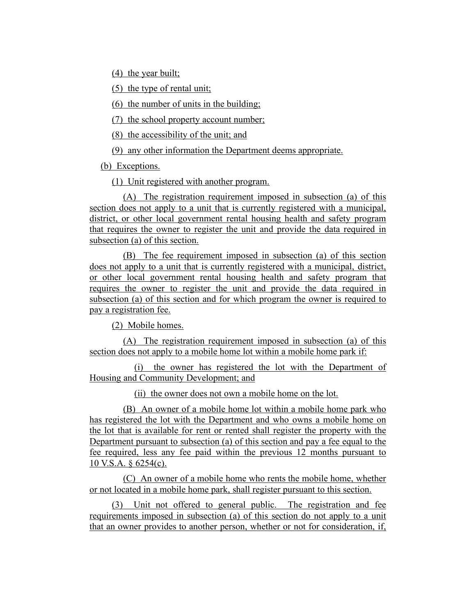(4) the year built;

(5) the type of rental unit;

(6) the number of units in the building;

(7) the school property account number;

(8) the accessibility of the unit; and

(9) any other information the Department deems appropriate.

(b) Exceptions.

(1) Unit registered with another program.

(A) The registration requirement imposed in subsection (a) of this section does not apply to a unit that is currently registered with a municipal, district, or other local government rental housing health and safety program that requires the owner to register the unit and provide the data required in subsection (a) of this section.

(B) The fee requirement imposed in subsection (a) of this section does not apply to a unit that is currently registered with a municipal, district, or other local government rental housing health and safety program that requires the owner to register the unit and provide the data required in subsection (a) of this section and for which program the owner is required to pay a registration fee.

(2) Mobile homes.

(A) The registration requirement imposed in subsection (a) of this section does not apply to a mobile home lot within a mobile home park if:

(i) the owner has registered the lot with the Department of Housing and Community Development; and

(ii) the owner does not own a mobile home on the lot.

(B) An owner of a mobile home lot within a mobile home park who has registered the lot with the Department and who owns a mobile home on the lot that is available for rent or rented shall register the property with the Department pursuant to subsection (a) of this section and pay a fee equal to the fee required, less any fee paid within the previous 12 months pursuant to 10 V.S.A. § 6254(c).

(C) An owner of a mobile home who rents the mobile home, whether or not located in a mobile home park, shall register pursuant to this section.

(3) Unit not offered to general public. The registration and fee requirements imposed in subsection (a) of this section do not apply to a unit that an owner provides to another person, whether or not for consideration, if,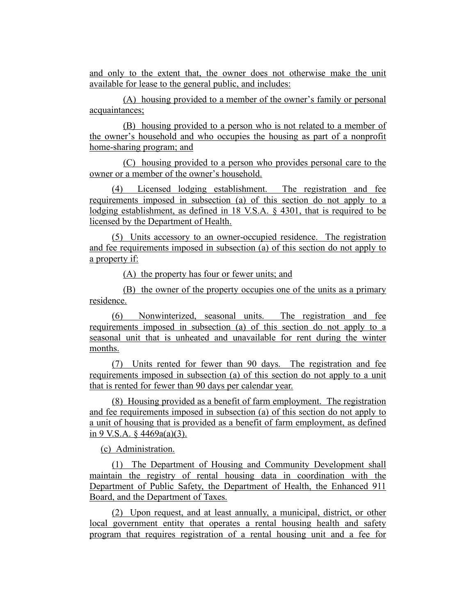and only to the extent that, the owner does not otherwise make the unit available for lease to the general public, and includes:

(A) housing provided to a member of the owner's family or personal acquaintances;

(B) housing provided to a person who is not related to a member of the owner's household and who occupies the housing as part of a nonprofit home-sharing program; and

(C) housing provided to a person who provides personal care to the owner or a member of the owner's household.

(4) Licensed lodging establishment. The registration and fee requirements imposed in subsection (a) of this section do not apply to a lodging establishment, as defined in 18 V.S.A. § 4301, that is required to be licensed by the Department of Health.

(5) Units accessory to an owner-occupied residence. The registration and fee requirements imposed in subsection (a) of this section do not apply to a property if:

(A) the property has four or fewer units; and

(B) the owner of the property occupies one of the units as a primary residence.

(6) Nonwinterized, seasonal units. The registration and fee requirements imposed in subsection (a) of this section do not apply to a seasonal unit that is unheated and unavailable for rent during the winter months.

(7) Units rented for fewer than 90 days. The registration and fee requirements imposed in subsection (a) of this section do not apply to a unit that is rented for fewer than 90 days per calendar year.

(8) Housing provided as a benefit of farm employment. The registration and fee requirements imposed in subsection (a) of this section do not apply to a unit of housing that is provided as a benefit of farm employment, as defined in 9 V.S.A.  $\frac{6}{9}$  4469a(a)(3).

(c) Administration.

(1) The Department of Housing and Community Development shall maintain the registry of rental housing data in coordination with the Department of Public Safety, the Department of Health, the Enhanced 911 Board, and the Department of Taxes.

(2) Upon request, and at least annually, a municipal, district, or other local government entity that operates a rental housing health and safety program that requires registration of a rental housing unit and a fee for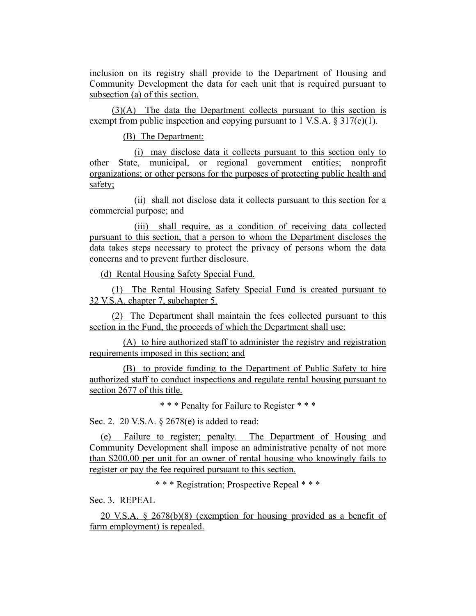inclusion on its registry shall provide to the Department of Housing and Community Development the data for each unit that is required pursuant to subsection (a) of this section.

(3)(A) The data the Department collects pursuant to this section is exempt from public inspection and copying pursuant to 1 V.S.A.  $\S 317(c)(1)$ .

(B) The Department:

(i) may disclose data it collects pursuant to this section only to other State, municipal, or regional government entities; nonprofit organizations; or other persons for the purposes of protecting public health and safety;

(ii) shall not disclose data it collects pursuant to this section for a commercial purpose; and

(iii) shall require, as a condition of receiving data collected pursuant to this section, that a person to whom the Department discloses the data takes steps necessary to protect the privacy of persons whom the data concerns and to prevent further disclosure.

(d) Rental Housing Safety Special Fund.

(1) The Rental Housing Safety Special Fund is created pursuant to 32 V.S.A. chapter 7, subchapter 5.

(2) The Department shall maintain the fees collected pursuant to this section in the Fund, the proceeds of which the Department shall use:

(A) to hire authorized staff to administer the registry and registration requirements imposed in this section; and

(B) to provide funding to the Department of Public Safety to hire authorized staff to conduct inspections and regulate rental housing pursuant to section 2677 of this title.

\* \* \* Penalty for Failure to Register \* \* \*

Sec. 2. 20 V.S.A. § 2678(e) is added to read:

(e) Failure to register; penalty. The Department of Housing and Community Development shall impose an administrative penalty of not more than \$200.00 per unit for an owner of rental housing who knowingly fails to register or pay the fee required pursuant to this section.

\* \* \* Registration; Prospective Repeal \* \* \*

Sec. 3. REPEAL

20 V.S.A. § 2678(b)(8) (exemption for housing provided as a benefit of farm employment) is repealed.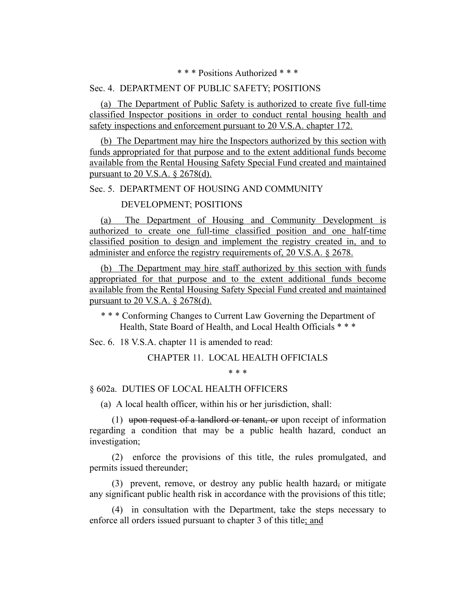\* \* \* Positions Authorized \* \* \*

#### Sec. 4. DEPARTMENT OF PUBLIC SAFETY; POSITIONS

(a) The Department of Public Safety is authorized to create five full-time classified Inspector positions in order to conduct rental housing health and safety inspections and enforcement pursuant to 20 V.S.A. chapter 172.

(b) The Department may hire the Inspectors authorized by this section with funds appropriated for that purpose and to the extent additional funds become available from the Rental Housing Safety Special Fund created and maintained pursuant to 20 V.S.A. § 2678(d).

## Sec. 5. DEPARTMENT OF HOUSING AND COMMUNITY

#### DEVELOPMENT; POSITIONS

(a) The Department of Housing and Community Development is authorized to create one full-time classified position and one half-time classified position to design and implement the registry created in, and to administer and enforce the registry requirements of, 20 V.S.A. § 2678.

(b) The Department may hire staff authorized by this section with funds appropriated for that purpose and to the extent additional funds become available from the Rental Housing Safety Special Fund created and maintained pursuant to 20 V.S.A. § 2678(d).

\* \* \* Conforming Changes to Current Law Governing the Department of Health, State Board of Health, and Local Health Officials \* \* \*

Sec. 6. 18 V.S.A. chapter 11 is amended to read:

CHAPTER 11. LOCAL HEALTH OFFICIALS

\* \* \*

#### § 602a. DUTIES OF LOCAL HEALTH OFFICERS

(a) A local health officer, within his or her jurisdiction, shall:

(1) upon request of a landlord or tenant, or upon receipt of information regarding a condition that may be a public health hazard, conduct an investigation;

(2) enforce the provisions of this title, the rules promulgated, and permits issued thereunder;

(3) prevent, remove, or destroy any public health hazard, or mitigate any significant public health risk in accordance with the provisions of this title;

(4) in consultation with the Department, take the steps necessary to enforce all orders issued pursuant to chapter 3 of this title; and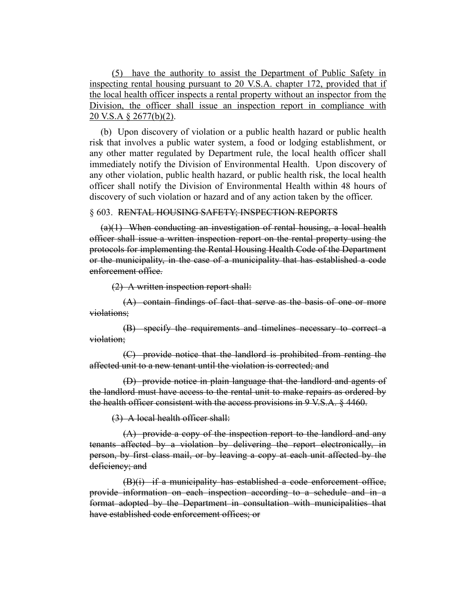(5) have the authority to assist the Department of Public Safety in inspecting rental housing pursuant to 20 V.S.A. chapter 172, provided that if the local health officer inspects a rental property without an inspector from the Division, the officer shall issue an inspection report in compliance with 20 V.S.A § 2677(b)(2).

(b) Upon discovery of violation or a public health hazard or public health risk that involves a public water system, a food or lodging establishment, or any other matter regulated by Department rule, the local health officer shall immediately notify the Division of Environmental Health. Upon discovery of any other violation, public health hazard, or public health risk, the local health officer shall notify the Division of Environmental Health within 48 hours of discovery of such violation or hazard and of any action taken by the officer.

#### § 603. RENTAL HOUSING SAFETY; INSPECTION REPORTS

 $(a)(1)$  When conducting an investigation of rental housing, a local health officer shall issue a written inspection report on the rental property using the protocols for implementing the Rental Housing Health Code of the Department or the municipality, in the case of a municipality that has established a code enforcement office.

(2) A written inspection report shall:

(A) contain findings of fact that serve as the basis of one or more violations;

(B) specify the requirements and timelines necessary to correct a violation;

(C) provide notice that the landlord is prohibited from renting the affected unit to a new tenant until the violation is corrected; and

(D) provide notice in plain language that the landlord and agents of the landlord must have access to the rental unit to make repairs as ordered by the health officer consistent with the access provisions in 9 V.S.A. § 4460.

(3) A local health officer shall:

(A) provide a copy of the inspection report to the landlord and any tenants affected by a violation by delivering the report electronically, in person, by first class mail, or by leaving a copy at each unit affected by the deficiency; and

 $(B)(i)$  if a municipality has established a code enforcement office, provide information on each inspection according to a schedule and in a format adopted by the Department in consultation with municipalities that have established code enforcement offices; or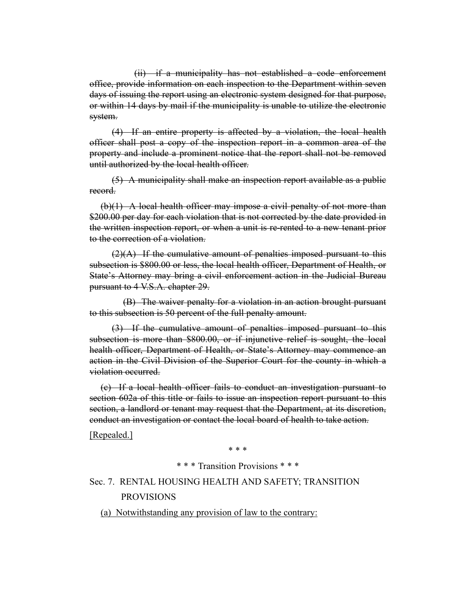(ii) if a municipality has not established a code enforcement office, provide information on each inspection to the Department within seven days of issuing the report using an electronic system designed for that purpose, or within 14 days by mail if the municipality is unable to utilize the electronic system.

(4) If an entire property is affected by a violation, the local health officer shall post a copy of the inspection report in a common area of the property and include a prominent notice that the report shall not be removed until authorized by the local health officer.

(5) A municipality shall make an inspection report available as a public record.

 $(b)(1)$  A local health officer may impose a civil penalty of not more than \$200.00 per day for each violation that is not corrected by the date provided in the written inspection report, or when a unit is re-rented to a new tenant prior to the correction of a violation.

 $(2)(A)$  If the cumulative amount of penalties imposed pursuant to this subsection is \$800.00 or less, the local health officer, Department of Health, or State's Attorney may bring a civil enforcement action in the Judicial Bureau pursuant to 4 V.S.A. chapter 29.

(B) The waiver penalty for a violation in an action brought pursuant to this subsection is 50 percent of the full penalty amount.

(3) If the cumulative amount of penalties imposed pursuant to this subsection is more than \$800.00, or if injunctive relief is sought, the local health officer, Department of Health, or State's Attorney may commence an action in the Civil Division of the Superior Court for the county in which a violation occurred.

(c) If a local health officer fails to conduct an investigation pursuant to section 602a of this title or fails to issue an inspection report pursuant to this section, a landlord or tenant may request that the Department, at its discretion, conduct an investigation or contact the local board of health to take action.

[Repealed.]

\* \* \*

### \* \* \* Transition Provisions \* \* \*

Sec. 7. RENTAL HOUSING HEALTH AND SAFETY; TRANSITION PROVISIONS

(a) Notwithstanding any provision of law to the contrary: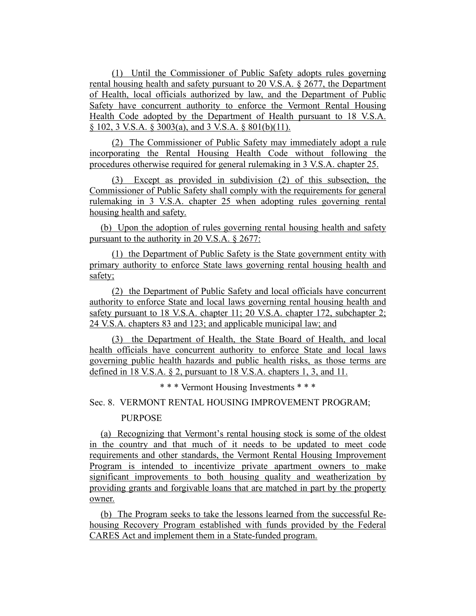(1) Until the Commissioner of Public Safety adopts rules governing rental housing health and safety pursuant to 20 V.S.A. § 2677, the Department of Health, local officials authorized by law, and the Department of Public Safety have concurrent authority to enforce the Vermont Rental Housing Health Code adopted by the Department of Health pursuant to 18 V.S.A. § 102, 3 V.S.A. § 3003(a), and 3 V.S.A. § 801(b)(11).

(2) The Commissioner of Public Safety may immediately adopt a rule incorporating the Rental Housing Health Code without following the procedures otherwise required for general rulemaking in 3 V.S.A. chapter 25.

(3) Except as provided in subdivision (2) of this subsection, the Commissioner of Public Safety shall comply with the requirements for general rulemaking in 3 V.S.A. chapter 25 when adopting rules governing rental housing health and safety.

(b) Upon the adoption of rules governing rental housing health and safety pursuant to the authority in 20 V.S.A. § 2677:

(1) the Department of Public Safety is the State government entity with primary authority to enforce State laws governing rental housing health and safety;

(2) the Department of Public Safety and local officials have concurrent authority to enforce State and local laws governing rental housing health and safety pursuant to 18 V.S.A. chapter 11; 20 V.S.A. chapter 172, subchapter 2; 24 V.S.A. chapters 83 and 123; and applicable municipal law; and

(3) the Department of Health, the State Board of Health, and local health officials have concurrent authority to enforce State and local laws governing public health hazards and public health risks, as those terms are defined in 18 V.S.A. § 2, pursuant to 18 V.S.A. chapters 1, 3, and 11.

\* \* \* Vermont Housing Investments \* \* \*

# Sec. 8. VERMONT RENTAL HOUSING IMPROVEMENT PROGRAM;

## **PURPOSE**

(a) Recognizing that Vermont's rental housing stock is some of the oldest in the country and that much of it needs to be updated to meet code requirements and other standards, the Vermont Rental Housing Improvement Program is intended to incentivize private apartment owners to make significant improvements to both housing quality and weatherization by providing grants and forgivable loans that are matched in part by the property owner.

(b) The Program seeks to take the lessons learned from the successful Rehousing Recovery Program established with funds provided by the Federal CARES Act and implement them in a State-funded program.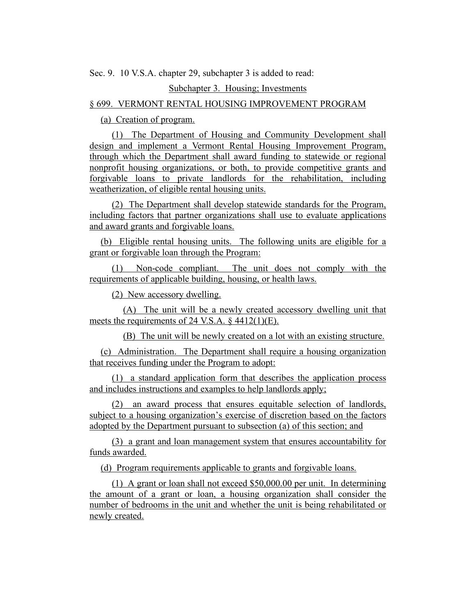Sec. 9. 10 V.S.A. chapter 29, subchapter 3 is added to read:

#### Subchapter 3. Housing; Investments

## § 699. VERMONT RENTAL HOUSING IMPROVEMENT PROGRAM

(a) Creation of program.

(1) The Department of Housing and Community Development shall design and implement a Vermont Rental Housing Improvement Program, through which the Department shall award funding to statewide or regional nonprofit housing organizations, or both, to provide competitive grants and forgivable loans to private landlords for the rehabilitation, including weatherization, of eligible rental housing units.

(2) The Department shall develop statewide standards for the Program, including factors that partner organizations shall use to evaluate applications and award grants and forgivable loans.

(b) Eligible rental housing units. The following units are eligible for a grant or forgivable loan through the Program:

(1) Non-code compliant. The unit does not comply with the requirements of applicable building, housing, or health laws.

(2) New accessory dwelling.

(A) The unit will be a newly created accessory dwelling unit that meets the requirements of 24 V.S.A. § 4412(1)(E).

(B) The unit will be newly created on a lot with an existing structure.

(c) Administration. The Department shall require a housing organization that receives funding under the Program to adopt:

(1) a standard application form that describes the application process and includes instructions and examples to help landlords apply;

(2) an award process that ensures equitable selection of landlords, subject to a housing organization's exercise of discretion based on the factors adopted by the Department pursuant to subsection (a) of this section; and

(3) a grant and loan management system that ensures accountability for funds awarded.

(d) Program requirements applicable to grants and forgivable loans.

(1) A grant or loan shall not exceed \$50,000.00 per unit. In determining the amount of a grant or loan, a housing organization shall consider the number of bedrooms in the unit and whether the unit is being rehabilitated or newly created.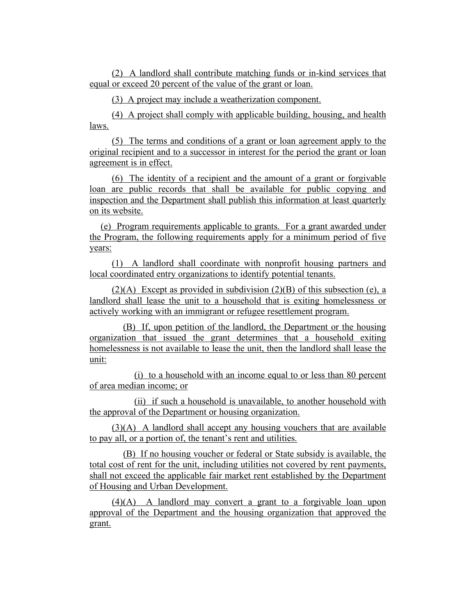(2) A landlord shall contribute matching funds or in-kind services that equal or exceed 20 percent of the value of the grant or loan.

(3) A project may include a weatherization component.

(4) A project shall comply with applicable building, housing, and health laws.

(5) The terms and conditions of a grant or loan agreement apply to the original recipient and to a successor in interest for the period the grant or loan agreement is in effect.

(6) The identity of a recipient and the amount of a grant or forgivable loan are public records that shall be available for public copying and inspection and the Department shall publish this information at least quarterly on its website.

(e) Program requirements applicable to grants. For a grant awarded under the Program, the following requirements apply for a minimum period of five years:

(1) A landlord shall coordinate with nonprofit housing partners and local coordinated entry organizations to identify potential tenants.

 $(2)(A)$  Except as provided in subdivision  $(2)(B)$  of this subsection (e), a landlord shall lease the unit to a household that is exiting homelessness or actively working with an immigrant or refugee resettlement program.

(B) If, upon petition of the landlord, the Department or the housing organization that issued the grant determines that a household exiting homelessness is not available to lease the unit, then the landlord shall lease the unit:

(i) to a household with an income equal to or less than 80 percent of area median income; or

(ii) if such a household is unavailable, to another household with the approval of the Department or housing organization.

 $(3)(A)$  A landlord shall accept any housing vouchers that are available to pay all, or a portion of, the tenant's rent and utilities.

(B) If no housing voucher or federal or State subsidy is available, the total cost of rent for the unit, including utilities not covered by rent payments, shall not exceed the applicable fair market rent established by the Department of Housing and Urban Development.

(4)(A) A landlord may convert a grant to a forgivable loan upon approval of the Department and the housing organization that approved the grant.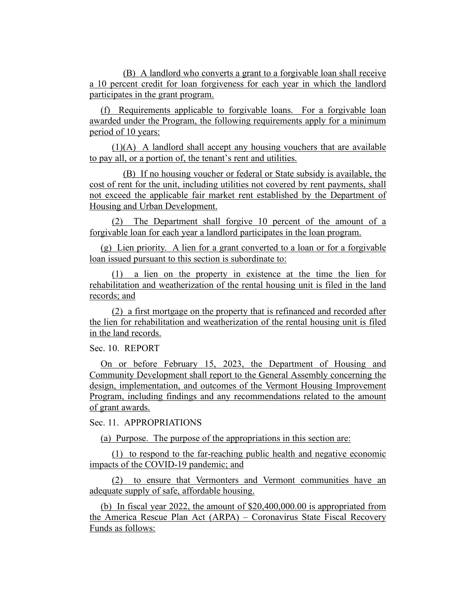(B) A landlord who converts a grant to a forgivable loan shall receive a 10 percent credit for loan forgiveness for each year in which the landlord participates in the grant program.

(f) Requirements applicable to forgivable loans. For a forgivable loan awarded under the Program, the following requirements apply for a minimum period of 10 years:

(1)(A) A landlord shall accept any housing vouchers that are available to pay all, or a portion of, the tenant's rent and utilities.

(B) If no housing voucher or federal or State subsidy is available, the cost of rent for the unit, including utilities not covered by rent payments, shall not exceed the applicable fair market rent established by the Department of Housing and Urban Development.

(2) The Department shall forgive 10 percent of the amount of a forgivable loan for each year a landlord participates in the loan program.

(g) Lien priority. A lien for a grant converted to a loan or for a forgivable loan issued pursuant to this section is subordinate to:

(1) a lien on the property in existence at the time the lien for rehabilitation and weatherization of the rental housing unit is filed in the land records; and

(2) a first mortgage on the property that is refinanced and recorded after the lien for rehabilitation and weatherization of the rental housing unit is filed in the land records.

# Sec. 10. REPORT

On or before February 15, 2023, the Department of Housing and Community Development shall report to the General Assembly concerning the design, implementation, and outcomes of the Vermont Housing Improvement Program, including findings and any recommendations related to the amount of grant awards.

#### Sec. 11. APPROPRIATIONS

(a) Purpose. The purpose of the appropriations in this section are:

(1) to respond to the far-reaching public health and negative economic impacts of the COVID-19 pandemic; and

(2) to ensure that Vermonters and Vermont communities have an adequate supply of safe, affordable housing.

(b) In fiscal year 2022, the amount of \$20,400,000.00 is appropriated from the America Rescue Plan Act (ARPA) – Coronavirus State Fiscal Recovery Funds as follows: